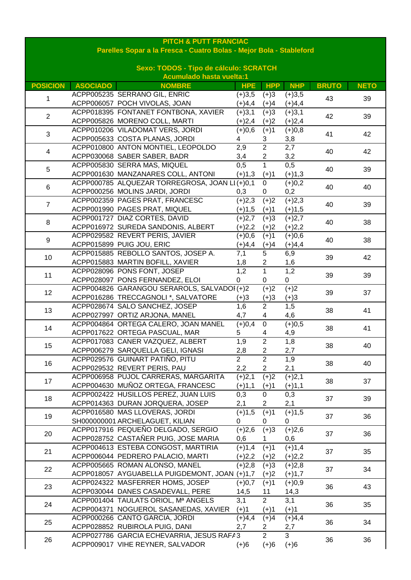| <b>PITCH &amp; PUTT FRANCIAC</b><br>Parelles Sopar a la Fresca - Cuatro Bolas - Mejor Bola - Stableford |                 |                                                |                  |                         |            |              |             |  |
|---------------------------------------------------------------------------------------------------------|-----------------|------------------------------------------------|------------------|-------------------------|------------|--------------|-------------|--|
| Sexo: TODOS - Tipo de cálculo: SCRATCH                                                                  |                 |                                                |                  |                         |            |              |             |  |
|                                                                                                         |                 | <b>Acumulado hasta vuelta:1</b>                |                  |                         |            |              |             |  |
| <b>POSICION</b>                                                                                         | <b>ASOCIADO</b> | <b>NOMBRE</b>                                  | <b>HPE</b>       | <b>HPP</b>              | <b>NHP</b> | <b>BRUTO</b> | <b>NETO</b> |  |
| 1                                                                                                       |                 | ACPP005235 SERRANO GIL, ENRIC                  | $(+)3,5$         | $(+)3$                  | $(+)3,5$   | 43           | 39          |  |
|                                                                                                         |                 | ACPP006057 POCH VIVOLAS, JOAN                  | $(+)4,4$         | $(+)4$                  | $(+)4,4$   |              |             |  |
| $\overline{2}$                                                                                          |                 | ACPP018395 FONTANET FONTBONA, XAVIER           | $(+)3,1$         | $(+)3$                  | $(+)3,1$   | 42           | 39          |  |
|                                                                                                         |                 | ACPP005826 MORENO COLL, MARTI                  | $(+)2,4$         | $(+)2$                  | $(+)2,4$   |              |             |  |
| 3                                                                                                       |                 | ACPP010206 VILADOMAT VERS, JORDI               | (4)0,6           | $(+)1$                  | $(+)0,8$   | 41           | 42          |  |
|                                                                                                         |                 | ACPP005633 COSTA PLANAS, JORDI                 | 4                | 3                       | 3,8        |              |             |  |
| 4                                                                                                       |                 | ACPP010800 ANTON MONTIEL, LEOPOLDO             | 2,9              | $\overline{2}$          | 2,7        | 40           | 42          |  |
|                                                                                                         |                 | ACPP030068 SABER SABER, BADR                   | 3,4              | $\overline{\mathbf{c}}$ | 3,2        |              |             |  |
| 5                                                                                                       |                 | ACPP005830 SERRA MAS, MIQUEL                   | 0,5              | $\mathbf 1$             | 0,5        | 40           | 39          |  |
|                                                                                                         |                 | ACPP001630 MANZANARES COLL, ANTONI             | $(+)1,3$         | $(+)1$                  | $(+)1,3$   |              |             |  |
| 6                                                                                                       |                 | ACPP000785 ALQUEZAR TORREGROSA, JOAN LI (+)0,1 |                  | $\mathbf 0$             | $(+)0,2$   | 40           | 40          |  |
|                                                                                                         |                 | ACPP000256 MOLINS JARDI, JORDI                 | 0,3              | 0                       | 0,2        |              |             |  |
| $\overline{7}$                                                                                          |                 | ACPP002359 PAGES PRAT, FRANCESC                | $(+)2,3$         | $(+)2$                  | $(+)2,3$   | 40           | 39          |  |
|                                                                                                         |                 | ACPP001990 PAGES PRAT, MIQUEL                  | $(+)1,5$         | $(+)1$                  | $(+)1,5$   |              |             |  |
| 8                                                                                                       |                 | ACPP001727 DIAZ CORTES, DAVID                  | $(+)2,7$         | $(+)3$                  | $(+)2,7$   | 40           | 38          |  |
|                                                                                                         |                 | ACPP016972 SUREDA SANDONIS, ALBERT             | $(+)2,2$         | $(+)2$                  | $(+)2,2$   |              |             |  |
| 9                                                                                                       |                 | ACPP029582 REVERT PERIS, JAVIER                | $(+)0,6$         | $(+)1$                  | $(+)0,6$   | 40           | 38          |  |
|                                                                                                         |                 | ACPP015899 PUIG JOU, ERIC                      | $(+)4,4$         | $(+)4$                  | $(+)4,4$   |              |             |  |
| 10                                                                                                      |                 | ACPP015885 REBOLLO SANTOS, JOSEP A.            | 7,1              | 5                       | 6,9        | 39           | 42          |  |
|                                                                                                         |                 | ACPP015883 MARTIN BOFILL, XAVIER               | 1,8              | $\overline{c}$          | 1,6        |              |             |  |
| 11                                                                                                      |                 | ACPP028096 PONS FONT, JOSEP                    | 1,2              | $\overline{1}$          | 1,2        | 39           | 39          |  |
|                                                                                                         |                 | ACPP028097 PONS FERNANDEZ, ELOI                | 0                | 0                       | $\pmb{0}$  |              |             |  |
| 12                                                                                                      |                 | ACPP004826 GARANGOU SERAROLS, SALVADOI(+)2     |                  | $(+)2$                  | $(+)2$     | 39           | 37          |  |
|                                                                                                         |                 | ACPP016286 TRECCAGNOLI *, SALVATORE            | $(+)3$           | $(+)3$                  | $(+)3$     |              |             |  |
| 13                                                                                                      |                 | ACPP028674 SALO SANCHEZ, JOSEP                 | $\overline{1,6}$ | $\overline{2}$          | 1,5        | 38           | 41          |  |
|                                                                                                         |                 | ACPP027997 ORTIZ ARJONA, MANEL                 | 4,7              | 4                       | 4,6        |              |             |  |
| 14                                                                                                      |                 | ACPP004864 ORTEGA CALERO, JOAN MANEL           | $(+)0,4$         | $\mathsf 0$             | $(+)0,5$   | 38           | 41          |  |
|                                                                                                         |                 | ACPP017622 ORTEGA PASCUAL, MAR                 | 5                | 4                       | 4,9        |              |             |  |
| 15                                                                                                      |                 | ACPP017083 CANER VAZQUEZ, ALBERT               | 1,9              | $\overline{2}$          | 1,8        | 38           | 40          |  |
|                                                                                                         |                 | ACPP006279 SARQUELLA GELI, IGNASI              | 2,8              | 2                       | 2,7        |              |             |  |
| 16                                                                                                      |                 | ACPP029576 GUINART PATIÑO, PITU                | $\overline{2}$   | $\overline{2}$          | 1,9        | 38           | 40          |  |
|                                                                                                         |                 | ACPP029532 REVERT PERIS, PAU                   | 2,2              | $\overline{2}$          | 2,1        |              |             |  |
| 17                                                                                                      |                 | ACPP006958 PUJOL CARRERAS, MARGARITA           | $(+)2,1$         | $(+)2$                  | $(+)2,1$   | 38           | 37          |  |
|                                                                                                         |                 | ACPP004630 MUÑOZ ORTEGA, FRANCESC              | $(+)1,1$         | $(+)1$                  | $(+)1,1$   |              |             |  |
| 18                                                                                                      |                 | ACPP002422 HUSILLOS PEREZ, JUAN LUIS           | 0,3              | 0                       | 0,3        | 37           | 39          |  |
|                                                                                                         |                 | ACPP014363 DURAN JORQUERA, JOSEP               | 2,1              | 2                       | 2,1        |              |             |  |
| 19                                                                                                      |                 | ACPP016580 MAS LLOVERAS, JORDI                 | $(+)1,5$         | $(+)1$                  | $(+)1,5$   | 37           | 36          |  |
|                                                                                                         |                 | SH000000001 ARCHELAGUET, KILIAN                | 0                | 0                       | 0          |              |             |  |
| 20                                                                                                      |                 | ACPP017916 PEQUEÑO DELGADO, SERGIO             | $\sqrt{(+)}2,6$  | $(+)3$                  | $(+)2,6$   | 37           | 36          |  |
|                                                                                                         |                 | ACPP028752 CASTAÑER PUIG, JOSE MARIA           | 0,6              |                         | 0,6        |              |             |  |
| 21                                                                                                      |                 | ACPP004613 ESTEBA CONGOST, MARTIRIA            | $(+)1,4$         | $(+)1$                  | $(+)1,4$   | 37           | 35          |  |
|                                                                                                         |                 | ACPP006044 PEDRERO PALACIO, MARTI              | $(+)2,2$         | $(+)2$                  | $(+)2,2$   |              |             |  |
| 22                                                                                                      |                 | ACPP005665 ROMAN ALONSO, MANEL                 | $(+)2,8$         | $(+)3$                  | $(+)2,8$   | 37           | 34          |  |
|                                                                                                         |                 | ACPP018057 AYGUABELLA PUIGDEMONT, JOAN (+)1,7  |                  | $(+)2$                  | $(+)1,7$   |              |             |  |
| 23                                                                                                      |                 | ACPP024322 MASFERRER HOMS, JOSEP               | $(+)0,7$         | $(+)1$                  | $(+)0,9$   | 36           | 43          |  |
|                                                                                                         |                 | ACPP030044 DANES CASADEVALL, PERE              | 14,5             | 11                      | 14,3       |              |             |  |
| 24                                                                                                      |                 | ACPP001404 TAULATS ORIOL, Mª ANGELS            | 3,1              | $\overline{2}$          | 3,1        | 36           | 35          |  |
|                                                                                                         |                 | ACPP004371 NOGUEROL SASANEDAS, XAVIER          | $(+)1$           | $(+)1$                  | $(+)1$     |              |             |  |
| 25                                                                                                      |                 | ACPP000266 CANTO GARCIA, JORDI                 | $(+)4,4$         | $(+)4$                  | $(+)4,4$   | 36           | 34          |  |
|                                                                                                         |                 | ACPP028852 RUBIROLA PUIG, DANI                 | 2,7              | 2                       | 2,7        |              |             |  |
| 26                                                                                                      |                 | ACPP027786 GARCIA ECHEVARRIA, JESUS RAFA3      |                  | $\overline{2}$          | 3          | 36           | 36          |  |
|                                                                                                         |                 | ACPP009017 VIHE REYNER, SALVADOR               | $(+)6$           | $(+)6$                  | $(+)6$     |              |             |  |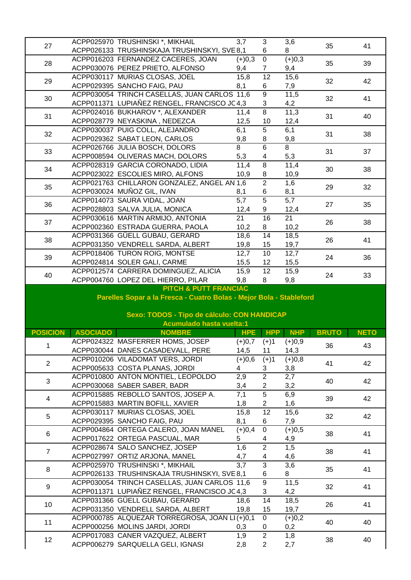|                 |                 | ACPP025970 TRUSHINSKI *, MIKHAIL                                      | 3,7        | 3                                | 3,6            |              |             |
|-----------------|-----------------|-----------------------------------------------------------------------|------------|----------------------------------|----------------|--------------|-------------|
| 27              |                 | ACPP026133 TRUSHINSKAJA TRUSHINSKYI, SVE 8,1                          |            | 6                                | 8              | 35           | 41          |
|                 |                 | ACPP016203 FERNANDEZ CACERES, JOAN                                    | $(+)0,3$   | $\overline{0}$                   | $(+)0,3$       |              |             |
| 28              |                 | ACPP030076 PEREZ PRIETO, ALFONSO                                      | 9,4        | $\overline{7}$                   | 9,4            | 35           | 39          |
|                 |                 | ACPP030117 MURIAS CLOSAS, JOEL                                        | 15,8       | $\overline{12}$                  | 15,6           |              |             |
| 29              |                 | ACPP029395 SANCHO FAIG, PAU                                           | 8,1        |                                  | 7,9            | 32           | 42          |
|                 |                 |                                                                       |            | 6                                |                |              |             |
| 30              |                 | ACPP030054 TRINCH CASELLAS, JUAN CARLOS 11,6                          |            | $\overline{9}$                   | 11,5           | 32           | 41          |
|                 |                 | ACPP011371 LUPIAÑEZ RENGEL, FRANCISCO JC4,3                           |            | 3                                | 4,2            |              |             |
| 31              |                 | ACPP024016 BUKHAROV *, ALEXANDER                                      | 11,4       | $\overline{8}$                   | 11,3           | 31           | 40          |
|                 |                 | ACPP028779 NEYASKINA, NEDEZCA                                         | 12,5       | 10                               | 12,4           |              |             |
| 32              |                 | ACPP030037 PUIG COLL, ALEJANDRO                                       | 6,1        | $\overline{5}$                   | 6,1            | 31           | 38          |
|                 |                 | ACPP029362 SABAT LEON, CARLOS                                         | 9,8        | 8                                | 9,8            |              |             |
| 33              |                 | ACPP026766 JULIA BOSCH, DOLORS                                        | 8          | $\overline{6}$                   | $\overline{8}$ | 31           | 37          |
|                 |                 | ACPP008594 OLIVERAS MACH, DOLORS                                      | 5,3        | $\overline{\mathbf{4}}$          | 5,3            |              |             |
|                 |                 | ACPP028319 GARCIA CORONADO, LIDIA                                     | 11,4       | 8                                | 11,4           |              |             |
| 34              |                 | ACPP023022 ESCOLIES MIRO, ALFONS                                      | 10,9       | 8                                | 10,9           | 30           | 38          |
|                 |                 | ACPP021763 CHILLARON GONZALEZ, ANGEL AN 1,6                           |            | $\overline{2}$                   | 1,6            |              |             |
| 35              |                 | ACPP030024 MUÑOZ GIL, IVAN                                            | 8,1        | 6                                | 8,1            | 29           | 32          |
|                 |                 | ACPP014073 SAURA VIDAL, JOAN                                          | 5,7        | $\overline{5}$                   | 5,7            |              |             |
| 36              |                 | ACPP028803 SALVA JULIA, MONICA                                        | 12,4       | 9                                | 12,4           | 27           | 35          |
|                 |                 |                                                                       |            |                                  |                |              |             |
| 37              |                 | ACPP030616 MARTIN ARMIJO, ANTONIA                                     | 21         | 16                               | 21             | 26           | 38          |
|                 |                 | ACPP002360 ESTRADA GUERRA, PAOLA                                      | 10,2       | 8                                | 10,2           |              |             |
| 38              |                 | ACPP031366 GÜELL GUBAU, GERARD                                        | 18,6       | 14                               | 18,5           | 26           | 41          |
|                 |                 | ACPP031350 VENDRELL SARDA, ALBERT                                     | 19,8       | 15                               | 19,7           |              |             |
| 39              |                 | ACPP018406 TURON ROIG, MONTSE                                         | 12,7       | $\overline{10}$                  | 12,7           | 24           | 36          |
|                 |                 | ACPP024814 SOLER GALI, CARME                                          | 15,5       | 12                               | 15,5           |              |             |
| 40              |                 | ACPP012574 CARRERA DOMINGUEZ, ALICIA                                  | 15,9       | $\overline{12}$                  | 15,9           | 24           |             |
|                 |                 | ACPP004760 LOPEZ DEL HIERRO, PILAR                                    | 9,8        | 8                                | 9,8            |              | 33          |
|                 |                 | <b>PITCH &amp; PUTT FRANCIAC</b>                                      |            |                                  |                |              |             |
|                 |                 |                                                                       |            |                                  |                |              |             |
|                 |                 |                                                                       |            |                                  |                |              |             |
|                 |                 | Parelles Sopar a la Fresca - Cuatro Bolas - Mejor Bola - Stableford   |            |                                  |                |              |             |
|                 |                 |                                                                       |            |                                  |                |              |             |
|                 |                 | Sexo: TODOS - Tipo de cálculo: CON HANDICAP                           |            |                                  |                |              |             |
|                 |                 | <b>Acumulado hasta vuelta:1</b>                                       |            |                                  |                |              |             |
| <b>POSICION</b> | <b>ASOCIADO</b> | <b>NOMBRE</b>                                                         | <b>HPE</b> | <b>HPP</b>                       | <b>NHP</b>     | <b>BRUTO</b> | <b>NETO</b> |
| $\overline{1}$  |                 | ACPP024322 MASFERRER HOMS, JOSEP                                      | $(+)0,7$   | $(+)1$                           | $(+)0,9$       | 36           | 43          |
|                 |                 | ACPP030044 DANES CASADEVALL, PERE                                     | 14,5       | 11                               | 14,3           |              |             |
| $\overline{2}$  |                 | ACPP010206 VILADOMAT VERS, JORDI                                      | $(+)0,6$   | $(+)1$                           | $(+)0,8$       | 41           | 42          |
|                 |                 | ACPP005633 COSTA PLANAS, JORDI                                        | 4          | 3                                | 3,8            |              |             |
|                 |                 | ACPP010800 ANTON MONTIEL, LEOPOLDO                                    | 2,9        | $\overline{2}$                   | 2,7            |              |             |
| 3               |                 | ACPP030068 SABER SABER, BADR                                          | 3,4        | $\overline{\mathbf{c}}$          | 3,2            | 40           | 42          |
|                 |                 | ACPP015885 REBOLLO SANTOS, JOSEP A.                                   | 7,1        | $\overline{5}$                   | 6,9            |              |             |
| 4               |                 | ACPP015883 MARTIN BOFILL, XAVIER                                      | 1,8        | $\overline{c}$                   | 1,6            | 39           | 42          |
|                 |                 | ACPP030117 MURIAS CLOSAS, JOEL                                        | 15,8       | 12                               | 15,6           |              |             |
| 5               |                 | ACPP029395 SANCHO FAIG, PAU                                           | 8,1        | 6                                | 7,9            | 32           | 42          |
|                 |                 | ACPP004864 ORTEGA CALERO, JOAN MANEL                                  | $(+)0,4$   | $\pmb{0}$                        | $(+)0,5$       |              |             |
| 6               |                 |                                                                       | 5          | 4                                |                | 38           | 41          |
|                 |                 | ACPP017622 ORTEGA PASCUAL, MAR                                        |            |                                  | 4,9            |              |             |
| $\overline{7}$  |                 | ACPP028674 SALO SANCHEZ, JOSEP                                        | 1,6        | $\overline{2}$                   | 1,5            | 38           | 41          |
|                 |                 | ACPP027997 ORTIZ ARJONA, MANEL                                        | 4,7        | 4                                | 4,6            |              |             |
| 8               |                 | ACPP025970 TRUSHINSKI *, MIKHAIL                                      | 3,7        | $\overline{3}$                   | 3,6            | 35           | 41          |
|                 |                 | ACPP026133 TRUSHINSKAJA TRUSHINSKYI, SVE 8,1                          |            | 6                                | 8              |              |             |
| 9               |                 | ACPP030054 TRINCH CASELLAS, JUAN CARLOS 11,6                          |            | $\overline{9}$                   | 11,5           | 32           | 41          |
|                 |                 | ACPP011371 LUPIAÑEZ RENGEL, FRANCISCO JC4,3                           |            | $\mathfrak{S}$                   | 4,2            |              |             |
| 10              |                 | ACPP031366 GÜELL GUBAU, GERARD                                        | 18,6       | 14                               | 18,5           | 26           | 41          |
|                 |                 | ACPP031350 VENDRELL SARDA, ALBERT                                     | 19,8       | 15                               | 19,7           |              |             |
|                 |                 | ACPP000785 ALQUEZAR TORREGROSA, JOAN LI (+)0,1                        |            | $\mathsf{O}$                     | $(+)0,2$       | 40           | 40          |
| 11              |                 | ACPP000256 MOLINS JARDI, JORDI                                        | 0,3        | 0                                | 0,2            |              |             |
| 12              |                 | ACPP017083 CANER VAZQUEZ, ALBERT<br>ACPP006279 SARQUELLA GELI, IGNASI | 1,9<br>2,8 | $\overline{2}$<br>$\overline{2}$ | 1,8<br>2,7     | 38           | 40          |